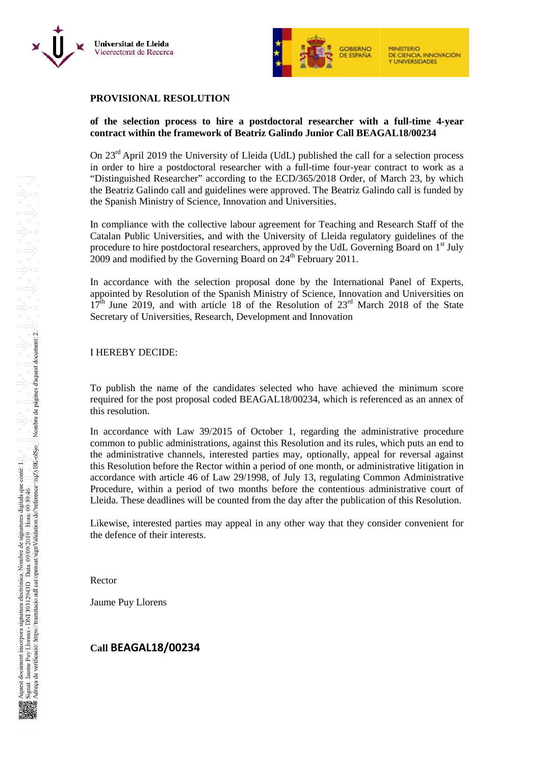



## **PROVISIONAL RESOLUTION**

#### **of the selection process to hire a postdoctoral researcher with a full-time 4-year contract within the framework of Beatriz Galindo Junior Call BEAGAL18/00234**

On 23<sup>rd</sup> April 2019 the University of Lleida (UdL) published the call for a selection process in order to hire a postdoctoral researcher with a full-time four-year contract to work as a "Distinguished Researcher" according to the ECD/365/2018 Order, of March 23, by which the Beatriz Galindo call and guidelines were approved. The Beatriz Galindo call is funded by the Spanish Ministry of Science, Innovation and Universities.

In compliance with the collective labour agreement for Teaching and Research Staff of the Catalan Public Universities, and with the University of Lleida regulatory guidelines of the procedure to hire postdoctoral researchers, approved by the UdL Governing Board on 1<sup>st</sup> July  $2009$  and modified by the Governing Board on  $24<sup>th</sup>$  February 2011.

In accordance with the selection proposal done by the International Panel of Experts, appointed by Resolution of the Spanish Ministry of Science, Innovation and Universities on  $17<sup>th</sup>$  June 2019, and with article 18 of the Resolution of  $23<sup>rd</sup>$  March 2018 of the State Secretary of Universities, Research, Development and Innovation

#### I HEREBY DECIDE:

To publish the name of the candidates selected who have achieved the minimum score required for the post proposal coded BEAGAL18/00234, which is referenced as an annex of this resolution.

In accordance with Law 39/2015 of October 1, regarding the administrative procedure common to public administrations, against this Resolution and its rules, which puts an end to the administrative channels, interested parties may, optionally, appeal for reversal against this Resolution before the Rector within a period of one month, or administrative litigation in accordance with article 46 of Law 29/1998, of July 13, regulating Common Administrative Procedure, within a period of two months before the contentious administrative court of Lleida. These deadlines will be counted from the day after the publication of this Resolution.

Likewise, interested parties may appeal in any other way that they consider convenient for the defence of their interests.

Rector

Jaume Puy Llorens

## **Call BEAGAL18/00234**